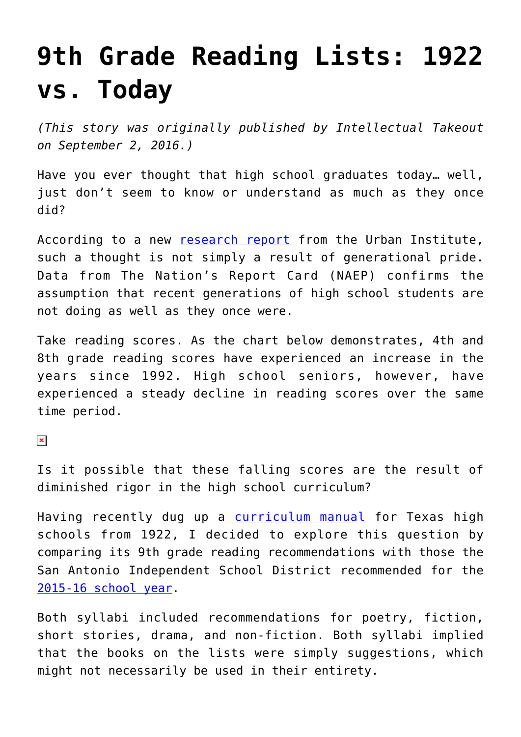## **[9th Grade Reading Lists: 1922](https://intellectualtakeout.org/2019/08/9th-grade-reading-lists-1922-vs-today/) [vs. Today](https://intellectualtakeout.org/2019/08/9th-grade-reading-lists-1922-vs-today/)**

*(This story was originally published by Intellectual Takeout on September 2, 2016.)*

Have you ever thought that high school graduates today… well, just don't seem to know or understand as much as they once did?

According to a new [research report](http://www.urban.org/research/publication/varsity-blues-are-high-school-students-being-left-behind/view/full_report) from the Urban Institute, such a thought is not simply a result of generational pride. Data from The Nation's Report Card (NAEP) confirms the assumption that recent generations of high school students are not doing as well as they once were.

Take reading scores. As the chart below demonstrates, 4th and 8th grade reading scores have experienced an increase in the years since 1992. High school seniors, however, have experienced a steady decline in reading scores over the same time period.

 $\pmb{\times}$ 

Is it possible that these falling scores are the result of diminished rigor in the high school curriculum?

Having recently dug up a [curriculum manual](https://archive.org/stream/texashighschools01texa#page/n1/mode/2up) for Texas high schools from 1922, I decided to explore this question by comparing its 9th grade reading recommendations with those the San Antonio Independent School District recommended for the [2015-16 school year.](https://www.saisd.net/admin/curric/curricms/curriculum/high_school/hs_english_curriculum.html)

Both syllabi included recommendations for poetry, fiction, short stories, drama, and non-fiction. Both syllabi implied that the books on the lists were simply suggestions, which might not necessarily be used in their entirety.